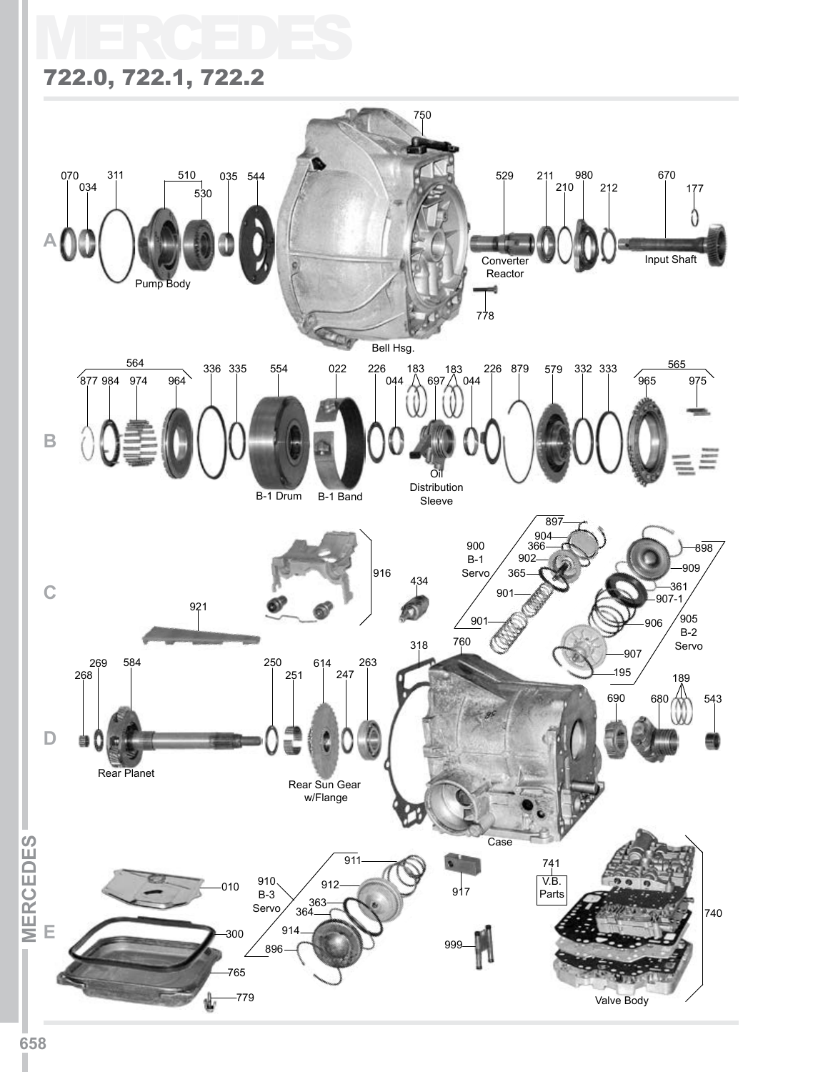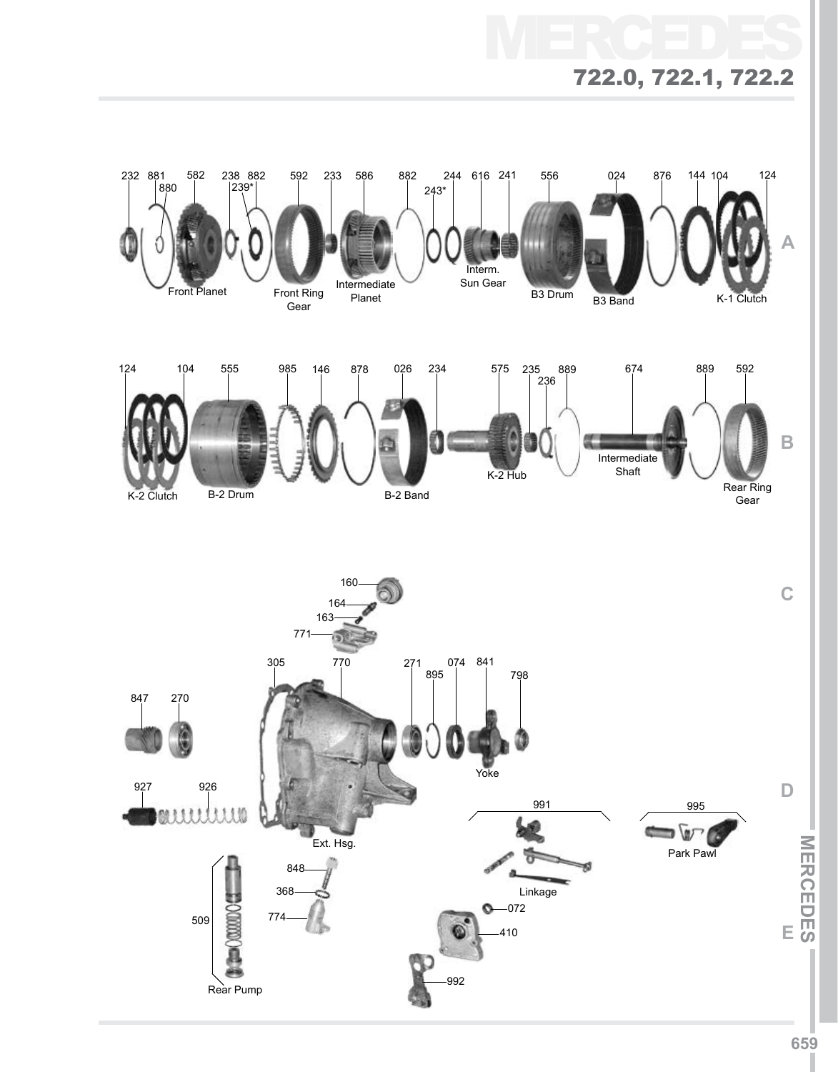# MERCEDES 722.0, 722.1, 722.2

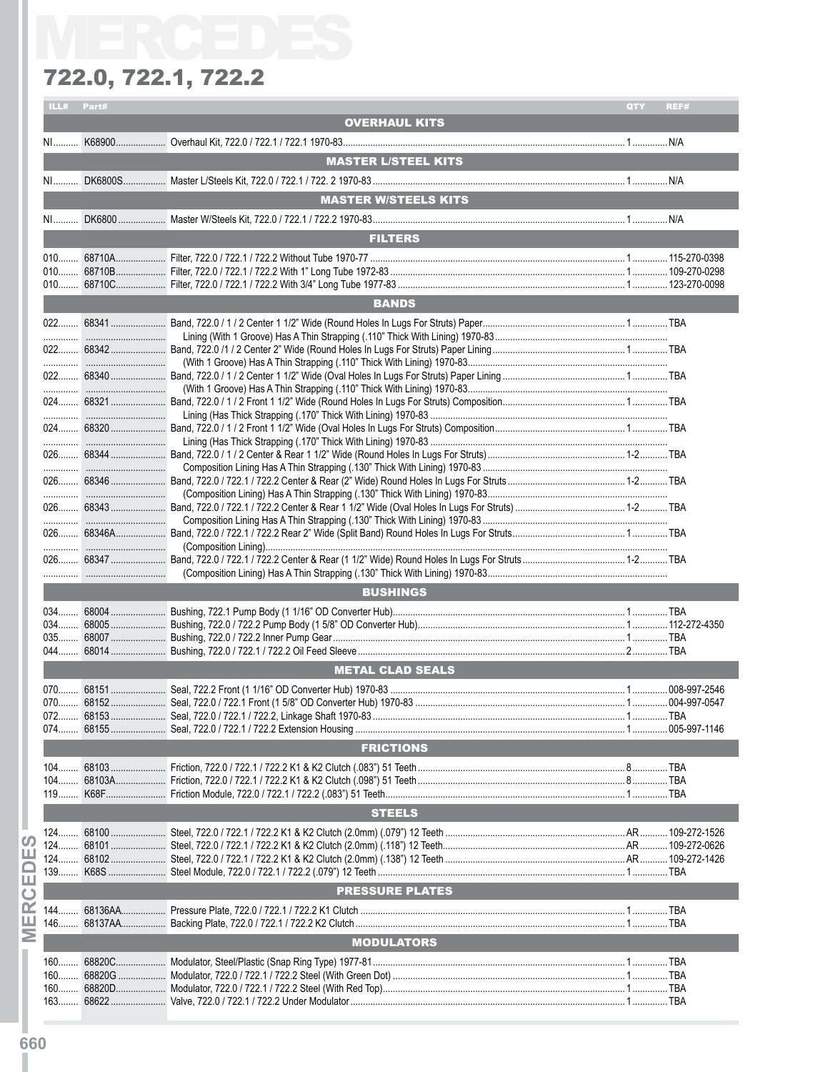| ILL#                            | Part# |                                                            | QTY | REF# |
|---------------------------------|-------|------------------------------------------------------------|-----|------|
|                                 |       | <b>OVERHAUL KITS</b>                                       |     |      |
|                                 |       |                                                            |     |      |
|                                 |       |                                                            |     |      |
|                                 |       | <b>MASTER L/STEEL KITS</b>                                 |     |      |
|                                 |       |                                                            |     |      |
|                                 |       | <b>MASTER W/STEELS KITS</b>                                |     |      |
|                                 |       |                                                            |     |      |
|                                 |       |                                                            |     |      |
|                                 |       | <b>FILTERS</b>                                             |     |      |
|                                 |       |                                                            |     |      |
|                                 |       |                                                            |     |      |
|                                 |       |                                                            |     |      |
|                                 |       |                                                            |     |      |
|                                 |       | <b>BANDS</b>                                               |     |      |
|                                 |       |                                                            |     |      |
|                                 |       |                                                            |     |      |
|                                 |       |                                                            |     |      |
|                                 |       |                                                            |     |      |
|                                 |       |                                                            |     |      |
|                                 |       |                                                            |     |      |
|                                 |       |                                                            |     |      |
|                                 |       |                                                            |     |      |
|                                 |       |                                                            |     |      |
|                                 |       |                                                            |     |      |
|                                 |       |                                                            |     |      |
|                                 |       |                                                            |     |      |
|                                 |       |                                                            |     |      |
|                                 |       |                                                            |     |      |
|                                 |       |                                                            |     |      |
|                                 |       |                                                            |     |      |
|                                 |       |                                                            |     |      |
|                                 |       |                                                            |     |      |
|                                 |       |                                                            |     |      |
|                                 |       |                                                            |     |      |
|                                 |       | <b>BUSHINGS</b>                                            |     |      |
|                                 |       |                                                            |     |      |
|                                 |       |                                                            |     |      |
|                                 |       |                                                            |     |      |
|                                 |       |                                                            |     |      |
|                                 |       |                                                            |     |      |
|                                 |       | <b>METAL CLAD SEALS</b>                                    |     |      |
|                                 |       |                                                            |     |      |
|                                 |       |                                                            |     |      |
| 072.                            |       | 68153  Seal, 722.0 / 722.1 / 722.2, Linkage Shaft 1970-83. |     |      |
|                                 |       |                                                            |     |      |
|                                 |       | <b>FRICTIONS</b>                                           |     |      |
|                                 |       |                                                            |     |      |
|                                 |       |                                                            |     |      |
|                                 |       |                                                            |     |      |
|                                 |       |                                                            |     |      |
|                                 |       | <b>STEELS</b>                                              |     |      |
|                                 |       |                                                            |     |      |
|                                 |       |                                                            |     |      |
|                                 |       |                                                            |     |      |
|                                 |       |                                                            |     |      |
|                                 |       | <b>PRESSURE PLATES</b>                                     |     |      |
| ၯ<br>ш<br>▭<br>囸<br>$\mathbf C$ |       |                                                            |     |      |
| ≃                               |       |                                                            |     |      |
| щ                               |       |                                                            |     |      |
|                                 |       | <b>MODULATORS</b>                                          |     |      |
|                                 |       |                                                            |     |      |
| Ξ                               |       |                                                            |     |      |
|                                 |       |                                                            |     |      |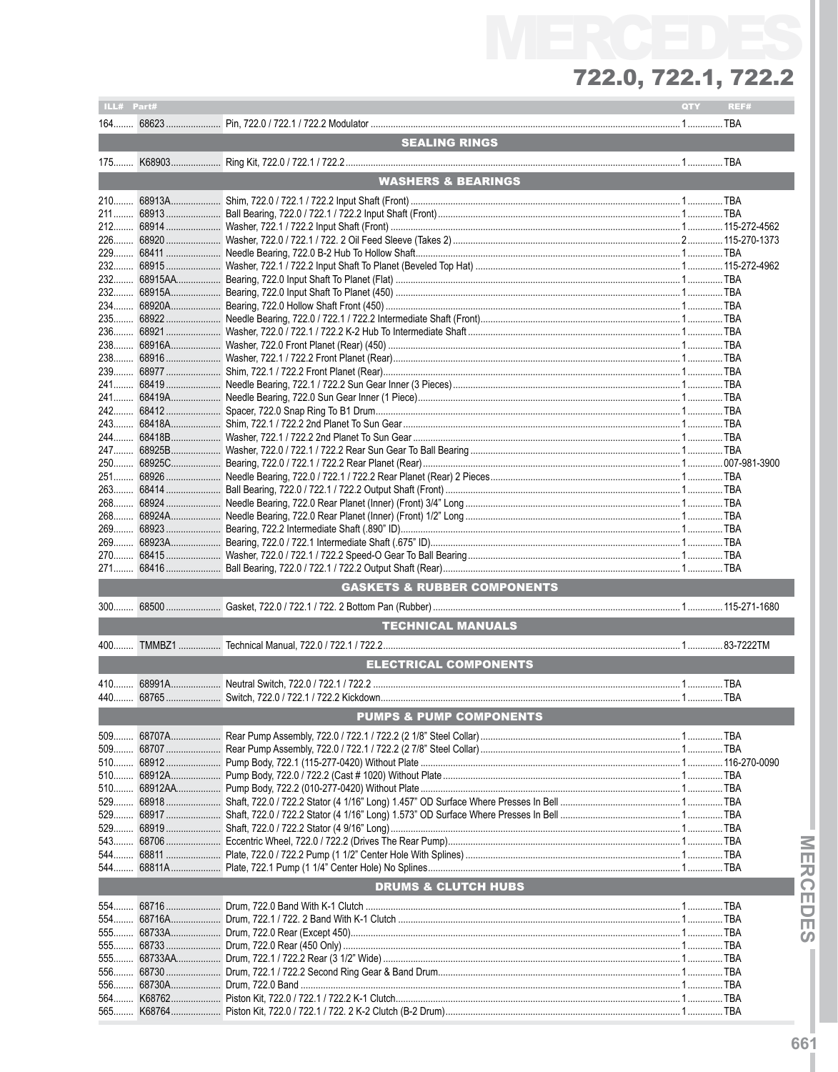| ILL# Part# |                      |                                        | QTY | REF# |
|------------|----------------------|----------------------------------------|-----|------|
|            |                      |                                        |     |      |
|            |                      | <b>SEALING RINGS</b>                   |     |      |
|            |                      |                                        |     |      |
|            |                      |                                        |     |      |
|            |                      | <b>WASHERS &amp; BEARINGS</b>          |     |      |
| $210$      |                      |                                        |     |      |
| $211$      |                      |                                        |     |      |
|            |                      |                                        |     |      |
|            |                      |                                        |     |      |
| 232        |                      |                                        |     |      |
| 232        |                      |                                        |     |      |
|            |                      |                                        |     |      |
|            |                      |                                        |     |      |
| 235        |                      |                                        |     |      |
|            |                      |                                        |     |      |
| 238        |                      |                                        |     |      |
|            |                      |                                        |     |      |
| 241        |                      |                                        |     |      |
| 241        |                      |                                        |     |      |
|            |                      |                                        |     |      |
|            |                      |                                        |     |      |
|            |                      |                                        |     |      |
|            |                      |                                        |     |      |
|            |                      |                                        |     |      |
|            |                      |                                        |     |      |
|            |                      |                                        |     |      |
|            |                      |                                        |     |      |
|            |                      |                                        |     |      |
| 269        |                      |                                        |     |      |
|            |                      |                                        |     |      |
|            |                      |                                        |     |      |
|            |                      | <b>GASKETS &amp; RUBBER COMPONENTS</b> |     |      |
| $300$      |                      |                                        |     |      |
|            |                      | <b>TECHNICAL MANUALS</b>               |     |      |
|            |                      |                                        |     |      |
|            |                      |                                        |     |      |
|            |                      | <b>ELECTRICAL COMPONENTS</b>           |     |      |
|            |                      |                                        |     |      |
|            |                      |                                        |     |      |
|            |                      | <b>PUMPS &amp; PUMP COMPONENTS</b>     |     |      |
|            | 509 68707A           |                                        |     |      |
|            | 509 68707            |                                        |     |      |
|            | 510 68912            |                                        |     |      |
| 510        | 68912A               |                                        |     |      |
| 510        | 68912AA              |                                        |     |      |
|            | 529 68918            |                                        |     |      |
|            | 529 68919            |                                        |     |      |
|            |                      |                                        |     |      |
|            | 544 68811            |                                        |     |      |
|            |                      |                                        |     |      |
|            |                      | <b>DRUMS &amp; CLUTCH HUBS</b>         |     |      |
|            |                      |                                        |     |      |
|            | 554 68716            |                                        |     |      |
| 554        | 68716A<br>555 68733A |                                        |     |      |
|            | 555 68733            |                                        |     |      |
|            | 555 68733AA          |                                        |     |      |
| 556        | 68730                |                                        |     |      |
| 556        | 68730A               |                                        |     |      |
|            |                      |                                        |     |      |
| $565$      | K68764               |                                        |     |      |

- MERCEDES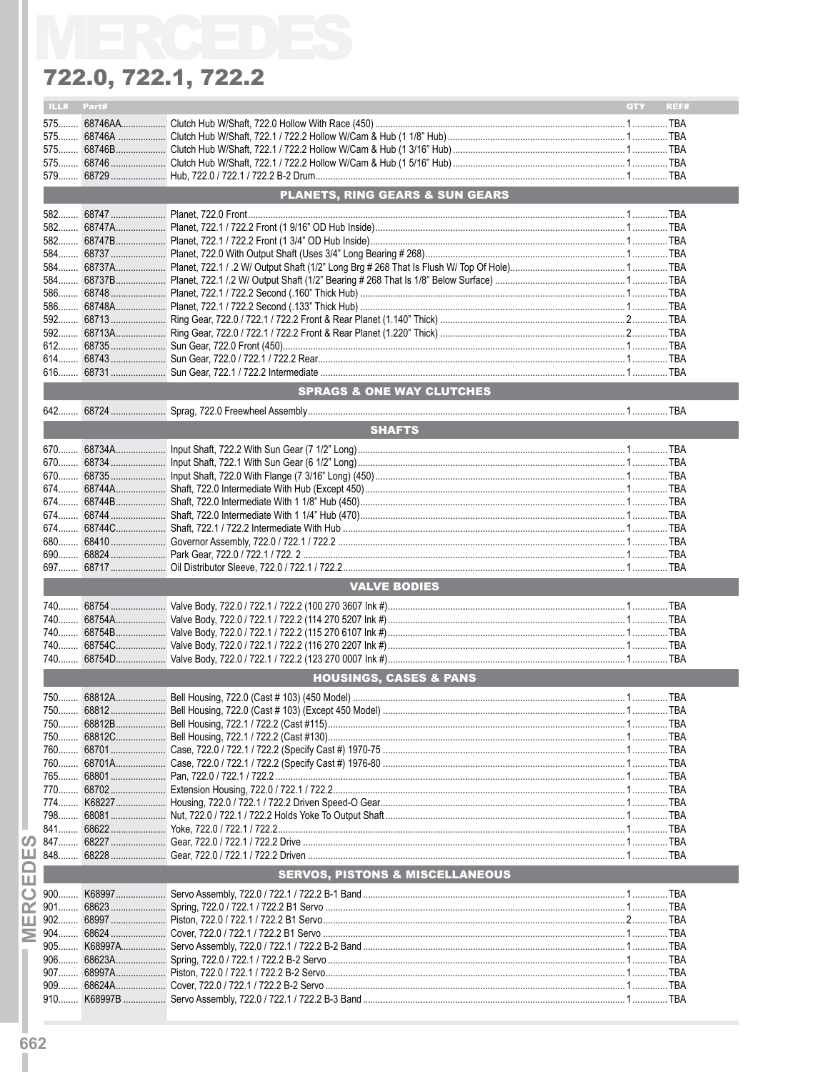|              | ILL# Part# |                                            | QTY<br>REF# |
|--------------|------------|--------------------------------------------|-------------|
|              |            |                                            |             |
|              |            |                                            |             |
|              |            |                                            |             |
|              |            |                                            |             |
|              |            |                                            |             |
|              |            | PLANETS, RING GEARS & SUN GEARS            |             |
|              |            |                                            |             |
|              |            |                                            |             |
|              |            |                                            |             |
|              |            |                                            |             |
|              |            |                                            |             |
|              |            |                                            |             |
|              |            |                                            |             |
|              |            |                                            |             |
|              |            |                                            |             |
|              |            |                                            |             |
|              |            |                                            |             |
|              |            |                                            |             |
|              |            |                                            |             |
|              |            |                                            |             |
|              |            | SPRAGS & ONE WAY CLUTCHES                  |             |
|              |            |                                            |             |
|              |            | <b>SHAFTS</b>                              |             |
|              |            |                                            |             |
|              |            |                                            |             |
|              |            |                                            |             |
|              |            |                                            |             |
|              |            |                                            |             |
|              |            |                                            |             |
|              |            |                                            |             |
|              |            |                                            |             |
|              |            |                                            |             |
|              |            |                                            |             |
|              |            | <b>VALVE BODIES</b>                        |             |
|              |            |                                            |             |
|              |            |                                            |             |
|              |            |                                            |             |
|              |            |                                            |             |
|              |            |                                            |             |
|              |            | <b>HOUSINGS, CASES &amp; PANS</b>          |             |
|              |            |                                            |             |
| 750          |            |                                            |             |
|              |            |                                            |             |
| 750          |            |                                            |             |
|              |            |                                            |             |
|              |            |                                            |             |
|              |            |                                            |             |
|              |            |                                            |             |
|              |            |                                            |             |
|              |            |                                            |             |
|              |            |                                            |             |
|              |            |                                            |             |
| ш            |            |                                            |             |
| ш            |            | <b>SERVOS, PISTONS &amp; MISCELLANEOUS</b> |             |
| ല<br>$900$   |            |                                            |             |
| œ<br>901     |            |                                            |             |
| $902$<br>ш   |            |                                            |             |
| $904$        |            |                                            |             |
| $905$        |            |                                            |             |
| 906          |            |                                            |             |
| 907          |            |                                            |             |
| $909$<br>910 |            |                                            |             |
|              |            |                                            |             |